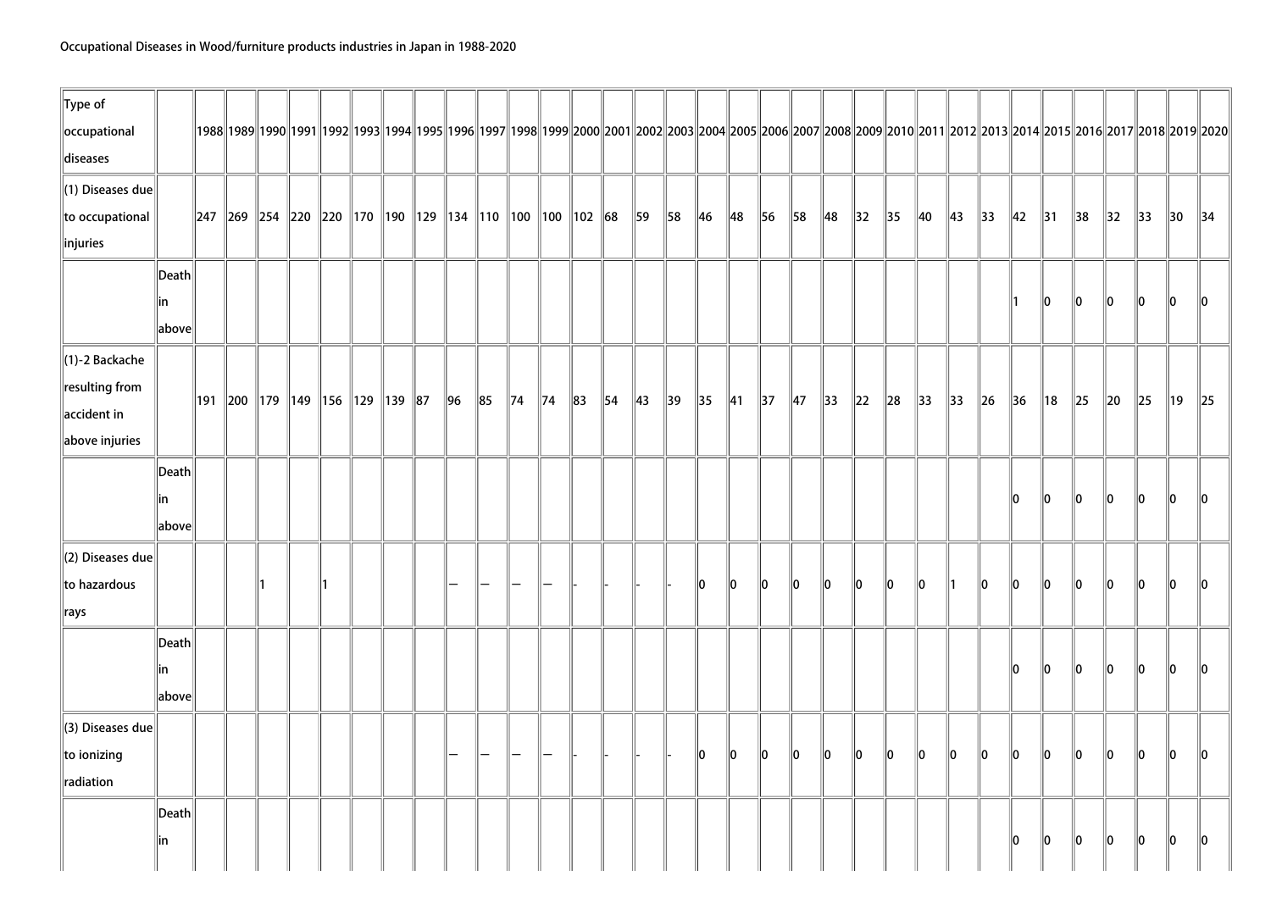| $\ $ Type of<br>occupational |                 |                                                                                                                                                                                                                                |           |  |  |                |        |                |                |          |                |                |                |                |                |                |                |                |                |                |                |                |                |                |                |                |                |                |                | 1992  1992  1992  1992  1993  1994  1995  1996  1997  1998  1999  2000  2001  2002  2003  2004  2005  2006  2007  2008  2009  2010  2011  2012  2013  2014  2015  2016  2017  2018  2019 |
|------------------------------|-----------------|--------------------------------------------------------------------------------------------------------------------------------------------------------------------------------------------------------------------------------|-----------|--|--|----------------|--------|----------------|----------------|----------|----------------|----------------|----------------|----------------|----------------|----------------|----------------|----------------|----------------|----------------|----------------|----------------|----------------|----------------|----------------|----------------|----------------|----------------|----------------|------------------------------------------------------------------------------------------------------------------------------------------------------------------------------------------|
| diseases                     |                 |                                                                                                                                                                                                                                |           |  |  |                |        |                |                |          |                |                |                |                |                |                |                |                |                |                |                |                |                |                |                |                |                |                |                |                                                                                                                                                                                          |
| $\ $ (1) Diseases due        |                 |                                                                                                                                                                                                                                |           |  |  |                |        |                |                |          |                |                |                |                |                |                |                |                |                |                |                |                |                |                |                |                |                |                |                |                                                                                                                                                                                          |
| to occupational              |                 | $\parallel$ 247 $\parallel$ 269 $\parallel$ 254 $\parallel$ 220 $\parallel$ 220 $\parallel$ 170 $\parallel$ 190 $\parallel$ 129 $\parallel$ 134 $\parallel$ 110 $\parallel$ 100 $\parallel$ 100 $\parallel$ 102 $\parallel$ 68 |           |  |  |                |        |                |                |          |                | 59             | 58             | $\ $ 46        | 48             | 56             | $\parallel$ 58 | $\parallel$ 48 | $\parallel$ 32 | $\parallel$ 35 | $\parallel$ 40 | $\parallel$ 43 | $\parallel$ 33 | $\parallel$ 42 | $\parallel$ 31 | $\parallel$ 38 | $\parallel$ 32 | $\parallel$ 33 | $\parallel$ 30 | $\parallel$ 34                                                                                                                                                                           |
| $\ $ injuries                |                 |                                                                                                                                                                                                                                |           |  |  |                |        |                |                |          |                |                |                |                |                |                |                |                |                |                |                |                |                |                |                |                |                |                |                |                                                                                                                                                                                          |
|                              | $\ $ Death $\ $ |                                                                                                                                                                                                                                |           |  |  |                |        |                |                |          |                |                |                |                |                |                |                |                |                |                |                |                |                |                |                |                |                |                |                |                                                                                                                                                                                          |
|                              | in              |                                                                                                                                                                                                                                |           |  |  |                |        |                |                |          |                |                |                |                |                |                |                |                |                |                |                |                |                |                | 10             | $\ 0\ $        | 10             | $\ 0\ $        | $\ 0\ $        | 10                                                                                                                                                                                       |
|                              | $\ $ above $\ $ |                                                                                                                                                                                                                                |           |  |  |                |        |                |                |          |                |                |                |                |                |                |                |                |                |                |                |                |                |                |                |                |                |                |                |                                                                                                                                                                                          |
| $\ $ (1)-2 Backache          |                 |                                                                                                                                                                                                                                |           |  |  |                |        |                |                |          |                |                |                |                |                |                |                |                |                |                |                |                |                |                |                |                |                |                |                |                                                                                                                                                                                          |
| resulting from               |                 |                                                                                                                                                                                                                                |           |  |  |                |        |                |                |          |                |                |                |                |                |                |                |                |                |                |                |                |                |                |                |                |                |                |                |                                                                                                                                                                                          |
| $\parallel$ accident in      |                 | ∥191 ∥200 ∥179 ∥149 ∥156 ∥129 ∥139 ∥87                                                                                                                                                                                         |           |  |  | $\parallel$ 96 | $\ 85$ | $\parallel$ 74 | $\parallel$ 74 | $\ 83\ $ | $\parallel$ 54 | $\parallel$ 43 | $\parallel$ 39 | $\parallel$ 35 | $\parallel$ 41 | $\parallel$ 37 | $\parallel$ 47 | $\parallel$ 33 | $\ 22\ $       | $\vert$ 28     | $\parallel$ 33 | $\parallel$ 33 | $\ $ 26        | $\parallel$ 36 | ∥18            | $\ 25\ $       | $\ 20\ $       | $\ 25\ $       | $\parallel$ 19 | $\ 25$                                                                                                                                                                                   |
| above injuries               |                 |                                                                                                                                                                                                                                |           |  |  |                |        |                |                |          |                |                |                |                |                |                |                |                |                |                |                |                |                |                |                |                |                |                |                |                                                                                                                                                                                          |
|                              | $\ $ Death $\ $ |                                                                                                                                                                                                                                |           |  |  |                |        |                |                |          |                |                |                |                |                |                |                |                |                |                |                |                |                |                |                |                |                |                |                |                                                                                                                                                                                          |
|                              | lin             |                                                                                                                                                                                                                                |           |  |  |                |        |                |                |          |                |                |                |                |                |                |                |                |                |                |                |                |                | 10             | 10             | 10             | 10             | 10             | lo.            | ll0                                                                                                                                                                                      |
|                              | $\ $ above $\ $ |                                                                                                                                                                                                                                |           |  |  |                |        |                |                |          |                |                |                |                |                |                |                |                |                |                |                |                |                |                |                |                |                |                |                |                                                                                                                                                                                          |
| $\parallel$ (2) Diseases due |                 |                                                                                                                                                                                                                                |           |  |  |                |        |                |                |          |                |                |                |                |                |                |                |                |                |                |                |                |                |                |                |                |                |                |                |                                                                                                                                                                                          |
| to hazardous                 |                 |                                                                                                                                                                                                                                | $\Vert$ 1 |  |  |                |        |                |                |          |                |                |                | 10             | llo.           | ∥0             | llo.           | ∥0             | 10             | 10             | 10             | ∥1             | 10             | 10             | 10             | 10             | 110            | 10             | llo.           | 110                                                                                                                                                                                      |
| $\ $ rays                    |                 |                                                                                                                                                                                                                                |           |  |  |                |        |                |                |          |                |                |                |                |                |                |                |                |                |                |                |                |                |                |                |                |                |                |                |                                                                                                                                                                                          |
|                              | Death           |                                                                                                                                                                                                                                |           |  |  |                |        |                |                |          |                |                |                |                |                |                |                |                |                |                |                |                |                |                |                |                |                |                |                |                                                                                                                                                                                          |
|                              | in              |                                                                                                                                                                                                                                |           |  |  |                |        |                |                |          |                |                |                |                |                |                |                |                |                |                |                |                |                | 10             | 10             | 10             | 10             | 10             | 10             | $\parallel$ 0                                                                                                                                                                            |
|                              | $\ $ above $\ $ |                                                                                                                                                                                                                                |           |  |  |                |        |                |                |          |                |                |                |                |                |                |                |                |                |                |                |                |                |                |                |                |                |                |                |                                                                                                                                                                                          |
| $\parallel$ (3) Diseases due |                 |                                                                                                                                                                                                                                |           |  |  |                |        |                |                |          |                |                |                |                |                |                |                |                |                |                |                |                |                |                |                |                |                |                |                |                                                                                                                                                                                          |
| to ionizing                  |                 |                                                                                                                                                                                                                                |           |  |  |                |        |                |                |          |                |                |                | lo.            | 10             | 10             | $\ 0\ $        | $\ 0\ $        | $\ 0\ $        | $ 0\rangle$    | $\ 0\ $        | $ 0\rangle$    | $\ 0\ $        | $\ 0\ $        | 10             | 10             | 10             | $\ 0\ $        | $\ 0\ $        | $\ 0\ $                                                                                                                                                                                  |
| radiation                    |                 |                                                                                                                                                                                                                                |           |  |  |                |        |                |                |          |                |                |                |                |                |                |                |                |                |                |                |                |                |                |                |                |                |                |                |                                                                                                                                                                                          |
|                              | Death           |                                                                                                                                                                                                                                |           |  |  |                |        |                |                |          |                |                |                |                |                |                |                |                |                |                |                |                |                |                |                |                |                |                |                |                                                                                                                                                                                          |
|                              | in              |                                                                                                                                                                                                                                |           |  |  |                |        |                |                |          |                |                |                |                |                |                |                |                |                |                |                |                |                | 10             | 10             | 10             | 10             | $\ 0\ $        | 10             | 10                                                                                                                                                                                       |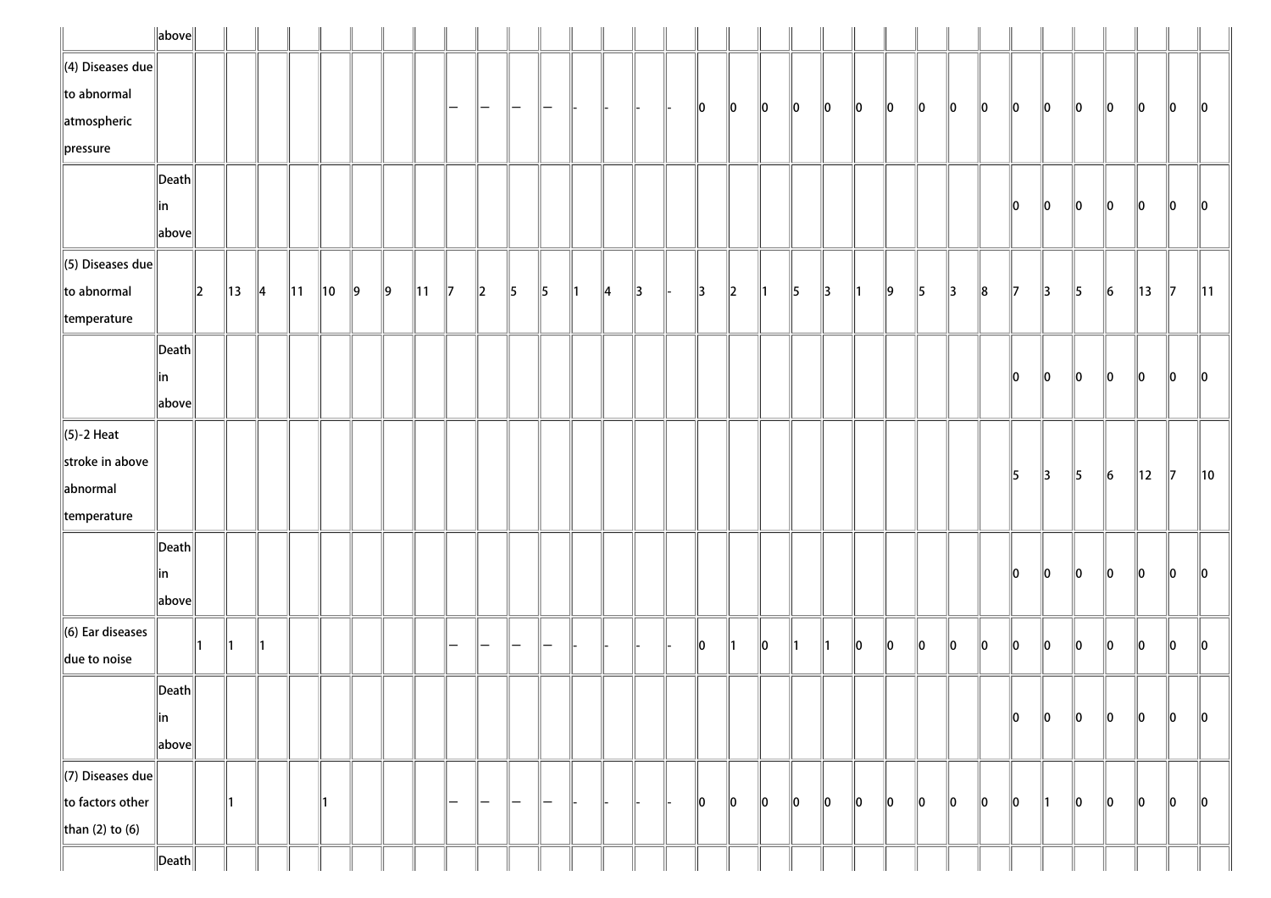|                          | $\ $ above $\ $       |               |                |               |                |                |               |               |                |               |                   |               |               |               |               |               |               |         |               |    |               |    |    |    |    |    |         |               |               |           |    |               |                |
|--------------------------|-----------------------|---------------|----------------|---------------|----------------|----------------|---------------|---------------|----------------|---------------|-------------------|---------------|---------------|---------------|---------------|---------------|---------------|---------|---------------|----|---------------|----|----|----|----|----|---------|---------------|---------------|-----------|----|---------------|----------------|
| $\ $ (4) Diseases due    |                       |               |                |               |                |                |               |               |                |               |                   |               |               |               |               |               |               |         |               |    |               |    |    |    |    |    |         |               |               |           |    |               |                |
| $\ $ to abnormal         |                       |               |                |               |                |                |               |               |                | -             | —                 |               |               |               |               |               | 10            | 10      | $\ 0\ $       | 10 | 10            | 10 | 10 | 10 | 10 | 10 | 10      | 10            | 10            | 10        | 10 | 10            | $\ 0\ $        |
| atmospheric              |                       |               |                |               |                |                |               |               |                |               |                   |               |               |               |               |               |               |         |               |    |               |    |    |    |    |    |         |               |               |           |    |               |                |
| $\ $ pressure            |                       |               |                |               |                |                |               |               |                |               |                   |               |               |               |               |               |               |         |               |    |               |    |    |    |    |    |         |               |               |           |    |               |                |
|                          | $\vert$ Death $\vert$ |               |                |               |                |                |               |               |                |               |                   |               |               |               |               |               |               |         |               |    |               |    |    |    |    |    |         |               |               |           |    |               |                |
|                          | in                    |               |                |               |                |                |               |               |                |               |                   |               |               |               |               |               |               |         |               |    |               |    |    |    |    |    | 10      | 10            | 10            | 10        | 10 | 10            | 10             |
|                          | above                 |               |                |               |                |                |               |               |                |               |                   |               |               |               |               |               |               |         |               |    |               |    |    |    |    |    |         |               |               |           |    |               |                |
| $\ $ (5) Diseases due    |                       |               |                |               |                |                |               |               |                |               |                   |               |               |               |               |               |               |         |               |    |               |    |    |    |    |    |         |               |               |           |    |               |                |
| $\ $ to abnormal         |                       | $\parallel$ 2 | $\parallel$ 13 | $\parallel$ 4 | $\parallel$ 11 | $\parallel$ 10 | $\parallel$ 9 | $\parallel$ 9 | $\parallel$ 11 | $\parallel$ 7 | $\parallel$ 2     | $\parallel$ 5 | $\parallel$ 5 | $\parallel$ 1 | $\parallel$ 4 | $\parallel$ 3 | $\parallel$ 3 | $\ 2\ $ | $\parallel$ 1 | 5  | $\parallel$ 3 | ∥1 | 9  | 5  | 13 | 8  | 17      | 13            | $\parallel$ 5 | $\vert$ 6 | 13 | $\parallel$ 7 | $\parallel$ 11 |
| $\parallel$ temperature  |                       |               |                |               |                |                |               |               |                |               |                   |               |               |               |               |               |               |         |               |    |               |    |    |    |    |    |         |               |               |           |    |               |                |
|                          | $\vert$ Death $\vert$ |               |                |               |                |                |               |               |                |               |                   |               |               |               |               |               |               |         |               |    |               |    |    |    |    |    |         |               |               |           |    |               |                |
|                          | in                    |               |                |               |                |                |               |               |                |               |                   |               |               |               |               |               |               |         |               |    |               |    |    |    |    |    | 10      | 10            | 10            | 10        | 10 | 10            | 10             |
|                          | above                 |               |                |               |                |                |               |               |                |               |                   |               |               |               |               |               |               |         |               |    |               |    |    |    |    |    |         |               |               |           |    |               |                |
| $\ $ (5)-2 Heat          |                       |               |                |               |                |                |               |               |                |               |                   |               |               |               |               |               |               |         |               |    |               |    |    |    |    |    |         |               |               |           |    |               |                |
| stroke in above          |                       |               |                |               |                |                |               |               |                |               |                   |               |               |               |               |               |               |         |               |    |               |    |    |    |    |    | 15      | $\parallel$ 3 | $\parallel$ 5 | $\ 6\ $   | 12 | 17            | 10             |
| abnormal                 |                       |               |                |               |                |                |               |               |                |               |                   |               |               |               |               |               |               |         |               |    |               |    |    |    |    |    |         |               |               |           |    |               |                |
| $\parallel$ temperature  |                       |               |                |               |                |                |               |               |                |               |                   |               |               |               |               |               |               |         |               |    |               |    |    |    |    |    |         |               |               |           |    |               |                |
|                          | $\vert$ Death $\vert$ |               |                |               |                |                |               |               |                |               |                   |               |               |               |               |               |               |         |               |    |               |    |    |    |    |    |         |               |               |           |    |               |                |
|                          | in                    |               |                |               |                |                |               |               |                |               |                   |               |               |               |               |               |               |         |               |    |               |    |    |    |    |    | 10      | 10            | $\ 0\ $       | 10        | 10 | 10            | 10             |
|                          | above                 |               |                |               |                |                |               |               |                |               |                   |               |               |               |               |               |               |         |               |    |               |    |    |    |    |    |         |               |               |           |    |               |                |
| $\ $ (6) Ear diseases    |                       |               |                |               |                |                |               |               |                |               |                   |               |               |               |               |               |               | ∥1      | 10            |    |               |    |    |    |    |    | llo     | ∥o            | 10            |           |    |               |                |
| $\parallel$ due to noise |                       |               |                |               |                |                |               |               |                |               |                   |               |               |               |               |               | 10            |         |               | ∥1 | ∥1            | 10 | 10 | 10 | 10 | 10 |         |               |               | 10        | 10 | 10            | $\ 0\ $        |
|                          | $\ $ Death $\ $       |               |                |               |                |                |               |               |                |               |                   |               |               |               |               |               |               |         |               |    |               |    |    |    |    |    |         |               |               |           |    |               |                |
|                          | ∥in                   |               |                |               |                |                |               |               |                |               |                   |               |               |               |               |               |               |         |               |    |               |    |    |    |    |    | 10      | $\ 0\ $       | $\ 0\ $       | 10        | 10 | 10            | 10             |
|                          | above                 |               |                |               |                |                |               |               |                |               |                   |               |               |               |               |               |               |         |               |    |               |    |    |    |    |    |         |               |               |           |    |               |                |
| $\Vert$ (7) Diseases due |                       |               |                |               |                |                |               |               |                |               |                   |               |               |               |               |               |               |         |               |    |               |    |    |    |    |    |         |               |               |           |    |               |                |
| $\ $ to factors other    |                       |               | ∥1             |               |                | 11             |               |               |                | -             | $\qquad \qquad -$ | $\overline{}$ | —             |               |               |               | 10            | 10      | $\ 0\ $       | 10 | 10            | 10 | 10 | 10 | 10 | 10 | $\ 0\ $ | 11            | 10            | 10        | 10 | 10            | 10             |
| than (2) to (6)          |                       |               |                |               |                |                |               |               |                |               |                   |               |               |               |               |               |               |         |               |    |               |    |    |    |    |    |         |               |               |           |    |               |                |
|                          | $\ $ Death $\ $       |               |                |               |                |                |               |               |                |               |                   |               |               |               |               |               |               |         |               |    |               |    |    |    |    |    |         |               |               |           |    |               |                |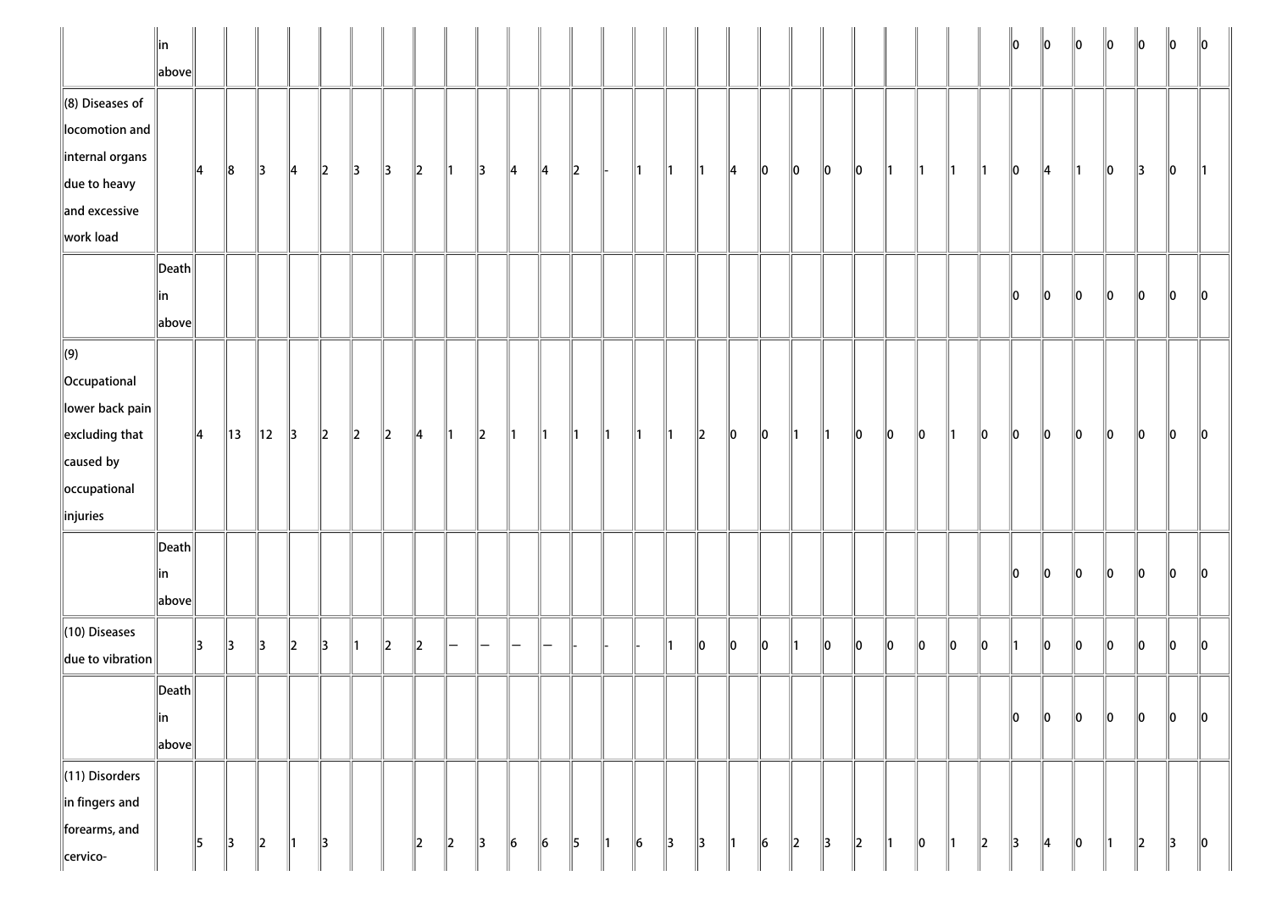|                                                                                                                                | ∥in<br>above                                            |               |                |                |               |               |               |               |               |               |               |                 |               |               |               |               |               |               |               |                 |               |               |    |    |      |                |     | ll0           | 10            | $\ 0\ $       | 10            | 10            | 10 | $\parallel$ 0 |
|--------------------------------------------------------------------------------------------------------------------------------|---------------------------------------------------------|---------------|----------------|----------------|---------------|---------------|---------------|---------------|---------------|---------------|---------------|-----------------|---------------|---------------|---------------|---------------|---------------|---------------|---------------|-----------------|---------------|---------------|----|----|------|----------------|-----|---------------|---------------|---------------|---------------|---------------|----|---------------|
| $\ $ (8) Diseases of<br>locomotion and<br> internal organs<br>$\ $ due to heavy<br>and excessive<br>work load                  |                                                         | $\parallel$ 4 | $\ 8$          | $\parallel$ 3  | $\parallel$ 4 | $ 2\rangle$   | $\parallel$ 3 | $\parallel$ 3 | $\parallel$ 2 | $\parallel$ 1 | $\parallel$ 3 | $\parallel$ 4   | ∥4            | $\parallel$ 2 |               | $\parallel$ 1 | $\parallel$ 1 | $\parallel$ 1 | $\parallel$ 4 | $\ 0\ $         | $\ 0\ $       | $\parallel 0$ | 10 | ∥1 | ∥1   | $\mathbb{I}$ 1 | ∥1  | 10            | $\parallel$ 4 | $\parallel$ 1 | 10            | 3             | 10 | $\parallel$ 1 |
|                                                                                                                                | $\ $ Death $\ $<br> in<br>$\ $ above $\ $               |               |                |                |               |               |               |               |               |               |               |                 |               |               |               |               |               |               |               |                 |               |               |    |    |      |                |     | 10            | 10            | 10            | 10            | 10            | 10 | 10            |
| $\Vert(9)$<br>  Occupational<br>lower back pain<br>$\left\ $ excluding that<br>$\ $ caused by<br>occupational<br>$\ $ injuries |                                                         | $\parallel$ 4 | $\parallel$ 13 | $\parallel$ 12 | $\parallel$ 3 | $\vert$ 2     | $\ 2\ $       | $\ 2\ $       | $\parallel$ 4 | $\parallel$ 1 | $\parallel$ 2 | $\parallel$ 1   | $\parallel$ 1 | $\parallel$ 1 | $\parallel$ 1 | $\parallel$ 1 | $\parallel$ 1 | $\ 2\ $       | $\ 0\ $       | $\ 0\ $         | $\parallel$ 1 | 11            | 10 | 10 | 10   | ∥1             | 10  | $\ 0\ $       | $\ 0\ $       | $\ 0\ $       | 10            | 10            | 10 | $\parallel$ 0 |
|                                                                                                                                | Death<br> in<br>$\ $ above $\ $                         |               |                |                |               |               |               |               |               |               |               |                 |               |               |               |               |               |               |               |                 |               |               |    |    |      |                |     | 10            | 10            | 10            | 10            | 10            | 10 | 10            |
| $\ $ (10) Diseases<br>$\ $ due to vibration                                                                                    |                                                         | 3             | $\parallel$ 3  | 13             | $\parallel$ 2 | 3             | $\parallel$ 1 | $\ 2\ $       | $\parallel$ 2 | -             | -             | —               | —             |               |               |               | ∥1            | 10            | llo.          | 10              | $\parallel$ 1 | 10            | 10 | 10 | llo. | llo            | llo |               | lo            | $\ 0\ $       | 10            | 10            | 10 | 10            |
|                                                                                                                                | $\left\Vert \mathsf{Death}\right\Vert$<br>∥in<br> above |               |                |                |               |               |               |               |               |               |               |                 |               |               |               |               |               |               |               |                 |               |               |    |    |      |                |     | 10            | 10            | $\ 0\ $       | 10            | 10            | 0  | $\ 0\ $       |
| $\parallel$ (11) Disorders<br>$\ $ in fingers and<br>forearms, and<br>cervico-                                                 |                                                         | $\parallel$ 5 | $\parallel$ 3  | $\parallel$ 2  | $\parallel$ 1 | $\parallel$ 3 |               |               | $\parallel$ 2 | 2             | $\parallel$ 3 | $\vert 6 \vert$ | $\ 6\ $       | 5             | $\parallel$ 1 | $\vert$ 6     | $\parallel$ 3 | $\parallel$ 3 | $\parallel$ 1 | $\vert 6 \vert$ | $\ 2\ $       | 3             | 2  | 11 | 0    | 11             | 2   | $\parallel$ 3 | $\parallel$ 4 | $\ 0\ $       | $\parallel$ 1 | $\parallel$ 2 | 3  | $\ 0\ $       |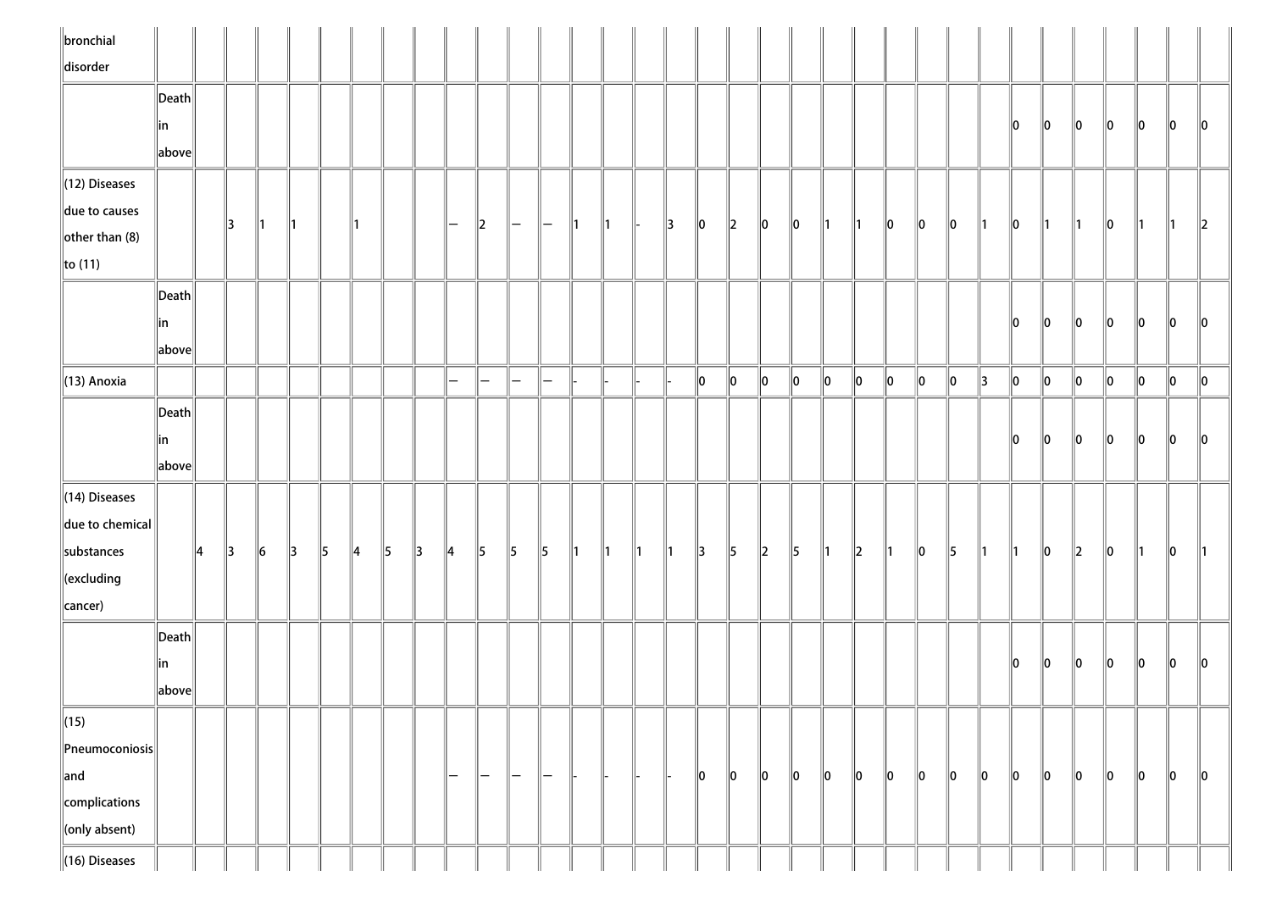| $\ $ bronchial                     |                                      |    |               |         |               |               |               |           |               |                          |                          |               |                   |                |               |               |               |               |               |                      |               |               |               |               |         |               |         |         |         |         |         |         |               |                 |
|------------------------------------|--------------------------------------|----|---------------|---------|---------------|---------------|---------------|-----------|---------------|--------------------------|--------------------------|---------------|-------------------|----------------|---------------|---------------|---------------|---------------|---------------|----------------------|---------------|---------------|---------------|---------------|---------|---------------|---------|---------|---------|---------|---------|---------|---------------|-----------------|
| disorder                           |                                      |    |               |         |               |               |               |           |               |                          |                          |               |                   |                |               |               |               |               |               |                      |               |               |               |               |         |               |         |         |         |         |         |         |               |                 |
|                                    | $\vert$ Death $\vert$                |    |               |         |               |               |               |           |               |                          |                          |               |                   |                |               |               |               |               |               |                      |               |               |               |               |         |               |         |         |         |         |         |         |               |                 |
|                                    | ∥in                                  |    |               |         |               |               |               |           |               |                          |                          |               |                   |                |               |               |               |               |               |                      |               |               |               |               |         |               |         | 10      | 10      | 10      | 10      | 10      | 10            | $\mathsf{I}$ lo |
|                                    | above                                |    |               |         |               |               |               |           |               |                          |                          |               |                   |                |               |               |               |               |               |                      |               |               |               |               |         |               |         |         |         |         |         |         |               |                 |
| $\ $ (12) Diseases                 |                                      |    |               |         |               |               |               |           |               |                          |                          |               |                   |                |               |               |               |               |               |                      |               |               |               |               |         |               |         |         |         |         |         |         |               |                 |
| due to causes                      |                                      |    |               |         |               |               |               |           |               |                          |                          |               |                   |                |               |               |               |               |               |                      |               |               |               |               |         |               |         |         |         |         |         |         |               |                 |
| $\left\Vert$ other than (8)        |                                      |    | 13            | ∥1      | Ш             |               |               |           |               | $\qquad \qquad -$        | $\ 2\ $                  | $\vert$ $-$   | $\vert$ $-$       | $\mathsf{I}$ 1 | $\parallel$ 1 |               | $\parallel$ 3 | $\ 0\ $       | $\ 2\ $       | 10                   | $ 0\rangle$   | $\parallel$ 1 | $\parallel$ 1 | $ 0\rangle$   | 10      | $\ 0\ $       | ∥1      | 10      | 11      |         | 10      | Ш       | 11            | $\parallel$ 2   |
| $\ $ to (11)                       |                                      |    |               |         |               |               |               |           |               |                          |                          |               |                   |                |               |               |               |               |               |                      |               |               |               |               |         |               |         |         |         |         |         |         |               |                 |
|                                    | $\ $ Death $\ $                      |    |               |         |               |               |               |           |               |                          |                          |               |                   |                |               |               |               |               |               |                      |               |               |               |               |         |               |         |         |         |         |         |         |               |                 |
|                                    | ∥in                                  |    |               |         |               |               |               |           |               |                          |                          |               |                   |                |               |               |               |               |               |                      |               |               |               |               |         |               |         | 10      | 10      | 10      | 10      | 10      | 10            | 10              |
|                                    | $\left\Vert \text{above}\right\Vert$ |    |               |         |               |               |               |           |               |                          |                          |               |                   |                |               |               |               |               |               |                      |               |               |               |               |         |               |         |         |         |         |         |         |               |                 |
| $\parallel$ (13) Anoxia            |                                      |    |               |         |               |               |               |           |               | $\overline{\phantom{0}}$ | $\overline{\phantom{0}}$ | -             | —                 |                |               |               |               | $\ 0\ $       | $\ 0\ $       | $\ 0\ $              | $\ 0\ $       | $ 0\rangle$   | 10            | $\ 0\ $       | $\ 0\ $ | $\ 0\ $       | 3       | $\ 0\ $ | 0       | $\ 0\ $ | 0       | $\ 0\ $ | $\ 0\ $       | $\ 0\ $         |
|                                    | Death                                |    |               |         |               |               |               |           |               |                          |                          |               |                   |                |               |               |               |               |               |                      |               |               |               |               |         |               |         |         |         |         |         |         |               |                 |
|                                    |                                      |    |               |         |               |               |               |           |               |                          |                          |               |                   |                |               |               |               |               |               |                      |               |               |               |               |         |               |         | llo.    | 10      | 10      | llo     | 10      | $\ 0\ $       | llo             |
|                                    | ∥in<br>above                         |    |               |         |               |               |               |           |               |                          |                          |               |                   |                |               |               |               |               |               |                      |               |               |               |               |         |               |         |         |         |         |         |         |               |                 |
|                                    |                                      |    |               |         |               |               |               |           |               |                          |                          |               |                   |                |               |               |               |               |               |                      |               |               |               |               |         |               |         |         |         |         |         |         |               |                 |
| $\parallel$ (14) Diseases          |                                      |    |               |         |               |               |               |           |               |                          |                          |               |                   |                |               |               |               |               |               |                      |               |               |               |               |         |               |         |         |         |         |         |         |               |                 |
| $\ $ due to chemical $\ $          |                                      |    |               |         |               |               |               |           |               |                          |                          |               |                   |                |               |               |               |               |               |                      |               |               |               |               |         |               |         |         |         |         |         |         |               |                 |
| substances                         |                                      | ∥4 | $\parallel$ 3 | $\ 6\ $ | $\parallel$ 3 | $\parallel$ 5 | $\parallel$ 4 | $\vert$ 5 | $\parallel$ 3 | $\parallel$ 4            | $\parallel$ 5            | $\vert$ 5     | $\parallel$ 5     | $\parallel$ 1  | $\parallel$ 1 | $\parallel$ 1 | $\parallel$ 1 | $\parallel$ 3 | $\parallel$ 5 | $\vert$ <sub>2</sub> | $\parallel$ 5 | $\parallel$ 1 | $\ 2\ $       | $\parallel$ 1 | $\ 0\ $ | $\parallel$ 5 | ∥1      | ∥1      | $\ 0\ $ | $\ 2\ $ | $\ 0\ $ | ∥1      | $\parallel$ 0 | 11              |
| $\ $ (excluding                    |                                      |    |               |         |               |               |               |           |               |                          |                          |               |                   |                |               |               |               |               |               |                      |               |               |               |               |         |               |         |         |         |         |         |         |               |                 |
| cancer)                            |                                      |    |               |         |               |               |               |           |               |                          |                          |               |                   |                |               |               |               |               |               |                      |               |               |               |               |         |               |         |         |         |         |         |         |               |                 |
|                                    | $\vert$ Death $\vert$                |    |               |         |               |               |               |           |               |                          |                          |               |                   |                |               |               |               |               |               |                      |               |               |               |               |         |               |         |         |         |         |         |         |               |                 |
|                                    | in                                   |    |               |         |               |               |               |           |               |                          |                          |               |                   |                |               |               |               |               |               |                      |               |               |               |               |         |               |         | 10      | 10      | 10      | 10      | 10      | llo           | llo             |
|                                    | above                                |    |               |         |               |               |               |           |               |                          |                          |               |                   |                |               |               |               |               |               |                      |               |               |               |               |         |               |         |         |         |         |         |         |               |                 |
| $\sqrt{(15)}$                      |                                      |    |               |         |               |               |               |           |               |                          |                          |               |                   |                |               |               |               |               |               |                      |               |               |               |               |         |               |         |         |         |         |         |         |               |                 |
| $\left\ $ Pneumoconiosis $\right $ |                                      |    |               |         |               |               |               |           |               |                          |                          |               |                   |                |               |               |               |               |               |                      |               |               |               |               |         |               |         |         |         |         |         |         |               |                 |
| $\ $ and                           |                                      |    |               |         |               |               |               |           |               | -                        | —                        | $\overline{}$ | $\qquad \qquad -$ |                |               |               |               | $\ 0\ $       | $\ 0\ $       | 0                    | $\ 0\ $       | $\ 0\ $       | $\ 0\ $       | 10            | $\ 0\ $ | 10            | $\ 0\ $ | 10      | 10      | 10      | 10      | 0       | $\ 0\ $       | $\ 0\ $         |
| complications                      |                                      |    |               |         |               |               |               |           |               |                          |                          |               |                   |                |               |               |               |               |               |                      |               |               |               |               |         |               |         |         |         |         |         |         |               |                 |
| $\ $ (only absent)                 |                                      |    |               |         |               |               |               |           |               |                          |                          |               |                   |                |               |               |               |               |               |                      |               |               |               |               |         |               |         |         |         |         |         |         |               |                 |
| $\ $ (16) Diseases                 |                                      |    |               |         |               |               |               |           |               |                          |                          |               |                   |                |               |               |               |               |               |                      |               |               |               |               |         |               |         |         |         |         |         |         |               |                 |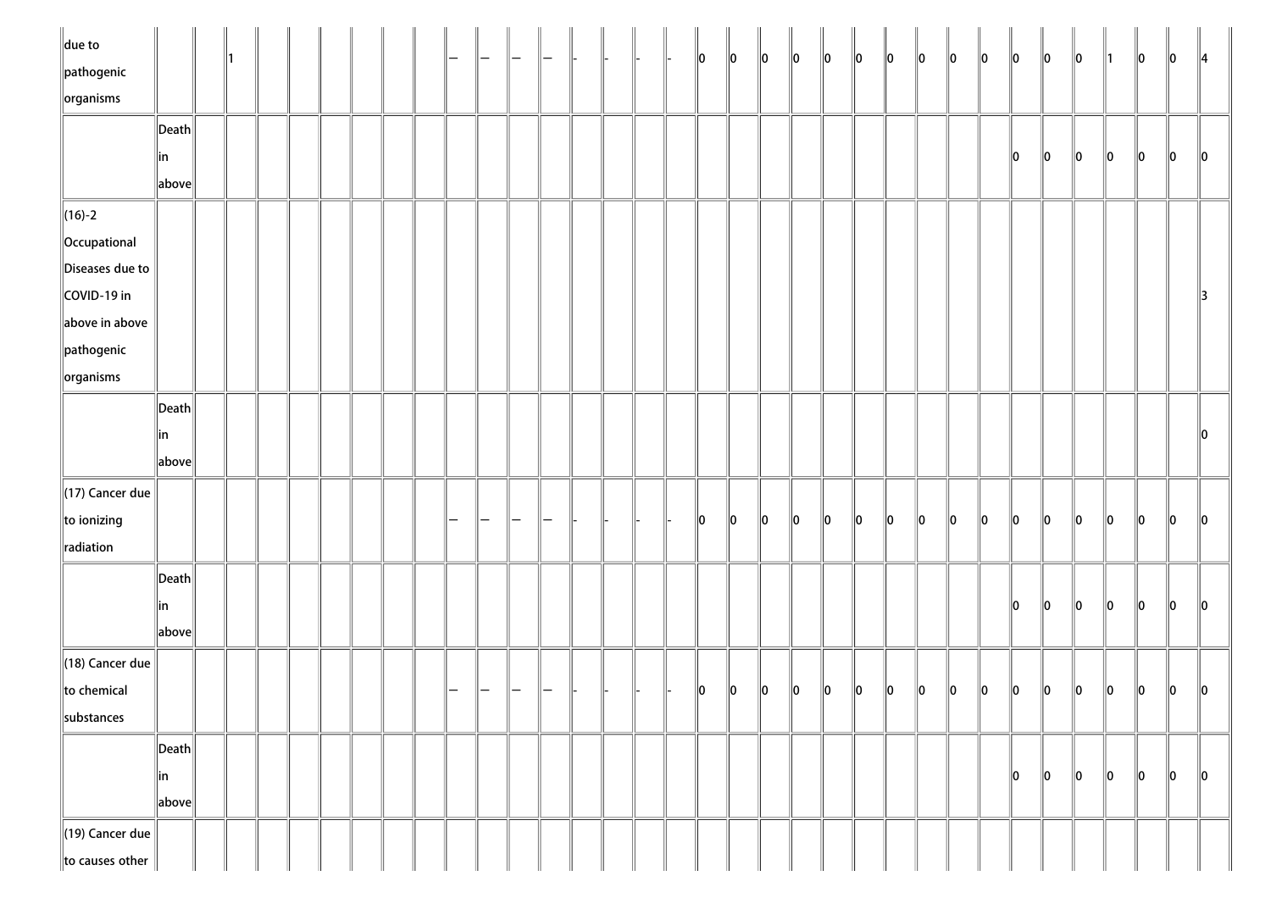| $\ $ due to<br>$\ $ pathogenic  |                                        |  |  |  |  |  |  |  |  | $\ 0\ $       | $\ 0\ $ | $\ 0\ $     | $\ 0\ $ | $\ 0\ $ | $\ 0\ $     | $\ 0\ $     | $\ 0\ $ | $\ 0\ $ | $\ 0\ $ | $\ 0\ $ | $\ 0\ $ | $\ 0\ $ | $\parallel$ 1 | 10      | 10      | $\parallel$ 4 |
|---------------------------------|----------------------------------------|--|--|--|--|--|--|--|--|---------------|---------|-------------|---------|---------|-------------|-------------|---------|---------|---------|---------|---------|---------|---------------|---------|---------|---------------|
| $\sqrt{\frac{1}{10}}$ organisms |                                        |  |  |  |  |  |  |  |  |               |         |             |         |         |             |             |         |         |         |         |         |         |               |         |         |               |
|                                 | $\left\Vert \mathsf{Death}\right\Vert$ |  |  |  |  |  |  |  |  |               |         |             |         |         |             |             |         |         |         |         |         |         |               |         |         |               |
|                                 | ∥in                                    |  |  |  |  |  |  |  |  |               |         |             |         |         |             |             |         |         |         | 10      | $\ 0\ $ | $\ 0\ $ | $\ 0\ $       | $\ 0\ $ | $\ 0\ $ | $\ 0\ $       |
|                                 | $\ $ above $\ $                        |  |  |  |  |  |  |  |  |               |         |             |         |         |             |             |         |         |         |         |         |         |               |         |         |               |
| $\ $ (16)-2                     |                                        |  |  |  |  |  |  |  |  |               |         |             |         |         |             |             |         |         |         |         |         |         |               |         |         |               |
| Occupational                    |                                        |  |  |  |  |  |  |  |  |               |         |             |         |         |             |             |         |         |         |         |         |         |               |         |         |               |
| Diseases due to                 |                                        |  |  |  |  |  |  |  |  |               |         |             |         |         |             |             |         |         |         |         |         |         |               |         |         |               |
| COVID-19 in                     |                                        |  |  |  |  |  |  |  |  |               |         |             |         |         |             |             |         |         |         |         |         |         |               |         |         | $\parallel$ 3 |
| above in above                  |                                        |  |  |  |  |  |  |  |  |               |         |             |         |         |             |             |         |         |         |         |         |         |               |         |         |               |
| $\parallel$ pathogenic          |                                        |  |  |  |  |  |  |  |  |               |         |             |         |         |             |             |         |         |         |         |         |         |               |         |         |               |
| $\ $ organisms                  |                                        |  |  |  |  |  |  |  |  |               |         |             |         |         |             |             |         |         |         |         |         |         |               |         |         |               |
|                                 | $\ $ Death $\ $                        |  |  |  |  |  |  |  |  |               |         |             |         |         |             |             |         |         |         |         |         |         |               |         |         |               |
|                                 | in                                     |  |  |  |  |  |  |  |  |               |         |             |         |         |             |             |         |         |         |         |         |         |               |         |         | $\ 0\ $       |
|                                 | $\ $ above $\ $                        |  |  |  |  |  |  |  |  |               |         |             |         |         |             |             |         |         |         |         |         |         |               |         |         |               |
| $\parallel$ (17) Cancer due     |                                        |  |  |  |  |  |  |  |  |               |         |             |         |         |             |             |         |         |         |         |         |         |               |         |         |               |
| to ionizing                     |                                        |  |  |  |  |  |  |  |  | $\parallel$ 0 | 10      | 10          | $\ 0\ $ | $\ 0\ $ | $ 0\rangle$ | $ 0\rangle$ | $\ 0\ $ | $\ 0\ $ | $\ 0\ $ | $\ 0\ $ | $\ 0\ $ | $\ 0\ $ | $\ 0\ $       | $\ 0\ $ | $\ 0\ $ | $\ 0\ $       |
| radiation                       |                                        |  |  |  |  |  |  |  |  |               |         |             |         |         |             |             |         |         |         |         |         |         |               |         |         |               |
|                                 | $\left\Vert \mathsf{Death}\right\Vert$ |  |  |  |  |  |  |  |  |               |         |             |         |         |             |             |         |         |         |         |         |         |               |         |         |               |
|                                 | ∥in                                    |  |  |  |  |  |  |  |  |               |         |             |         |         |             |             |         |         |         | $\ 0\ $ | $\ 0\ $ | $\ 0\ $ | $\ 0\ $       | $\ 0\ $ | $\ 0\ $ | $\ 0\ $       |
|                                 | $\ $ above $\ $                        |  |  |  |  |  |  |  |  |               |         |             |         |         |             |             |         |         |         |         |         |         |               |         |         |               |
| $\parallel$ (18) Cancer due     |                                        |  |  |  |  |  |  |  |  |               |         |             |         |         |             |             |         |         |         |         |         |         |               |         |         |               |
| to chemical                     |                                        |  |  |  |  |  |  |  |  | 10            | $\ 0\ $ | $\parallel$ | $\ 0\ $ | $\ 0\ $ | $\ 0\ $     | $\ 0\ $     | $\ 0\ $ | $\ 0\ $ | $\ 0\ $ | $\ 0\ $ | $\ 0\ $ | $\ 0\ $ | $\ 0\ $       | $\ 0\ $ | $\ 0\ $ | $\parallel$ 0 |
| substances                      |                                        |  |  |  |  |  |  |  |  |               |         |             |         |         |             |             |         |         |         |         |         |         |               |         |         |               |
|                                 | $\left\Vert \mathsf{Death}\right\Vert$ |  |  |  |  |  |  |  |  |               |         |             |         |         |             |             |         |         |         |         |         |         |               |         |         |               |
|                                 | ∥in                                    |  |  |  |  |  |  |  |  |               |         |             |         |         |             |             |         |         |         | 10      | 10      | 10      | $\ 0\ $       | $\ 0\ $ | $\ 0\ $ | $\ 0\ $       |
|                                 | $\ $ above $\ $                        |  |  |  |  |  |  |  |  |               |         |             |         |         |             |             |         |         |         |         |         |         |               |         |         |               |
|                                 |                                        |  |  |  |  |  |  |  |  |               |         |             |         |         |             |             |         |         |         |         |         |         |               |         |         |               |
| $\parallel$ (19) Cancer due     |                                        |  |  |  |  |  |  |  |  |               |         |             |         |         |             |             |         |         |         |         |         |         |               |         |         |               |
| to causes other                 |                                        |  |  |  |  |  |  |  |  |               |         |             |         |         |             |             |         |         |         |         |         |         |               |         |         |               |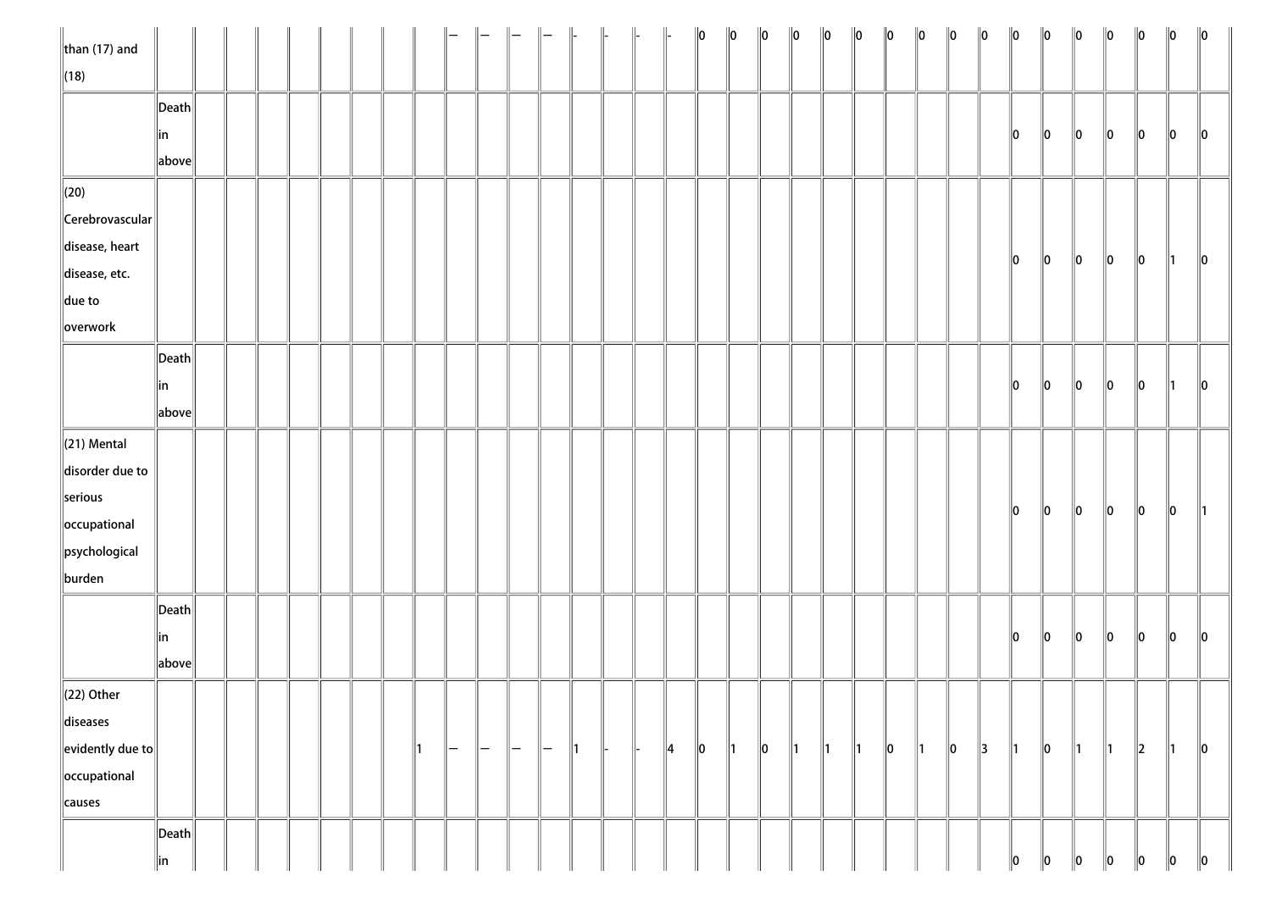| $\ $ than (17) and         |                       |  |  |  |    |    |               |     |                   | $\parallel$ | $\parallel$ |               | $\ 0\ $ | $\ 0\ $       | $\ 0\ $     | $\ 0\ $       | $\ 0\ $       | $\ 0\ $       | $\ 0\ $ | $\ 0\ $       | $\ 0\ $ | $\ 0\ $       | $\ 0\ $       | $\ 0\ $ | $\ 0\ $       | $\ 0\ $       | $\ 0\ $ | $\ 0\ $       | $\ 0\ $       |
|----------------------------|-----------------------|--|--|--|----|----|---------------|-----|-------------------|-------------|-------------|---------------|---------|---------------|-------------|---------------|---------------|---------------|---------|---------------|---------|---------------|---------------|---------|---------------|---------------|---------|---------------|---------------|
| $\ $ (18)                  |                       |  |  |  |    |    |               |     |                   |             |             |               |         |               |             |               |               |               |         |               |         |               |               |         |               |               |         |               |               |
|                            | $\ $ Death $\ $       |  |  |  |    |    |               |     |                   |             |             |               |         |               |             |               |               |               |         |               |         |               |               |         |               |               |         |               |               |
|                            | ∥in                   |  |  |  |    |    |               |     |                   |             |             |               |         |               |             |               |               |               |         |               |         |               | 10            | $\ 0\ $ | $\ 0\ $       | 10            | 10      | 10            | $\parallel$ 0 |
|                            | above                 |  |  |  |    |    |               |     |                   |             |             |               |         |               |             |               |               |               |         |               |         |               |               |         |               |               |         |               |               |
| $\ $ (20)                  |                       |  |  |  |    |    |               |     |                   |             |             |               |         |               |             |               |               |               |         |               |         |               |               |         |               |               |         |               |               |
| $\ $ Cerebrovascular $\ $  |                       |  |  |  |    |    |               |     |                   |             |             |               |         |               |             |               |               |               |         |               |         |               |               |         |               |               |         |               |               |
| disease, heart             |                       |  |  |  |    |    |               |     |                   |             |             |               |         |               |             |               |               |               |         |               |         |               |               |         |               |               |         |               |               |
| disease, etc.              |                       |  |  |  |    |    |               |     |                   |             |             |               |         |               |             |               |               |               |         |               |         |               | 10            | $\ 0\ $ | $\ 0\ $       | 10            | 10      | 11.           | $\ 0\ $       |
| $\ $ due to                |                       |  |  |  |    |    |               |     |                   |             |             |               |         |               |             |               |               |               |         |               |         |               |               |         |               |               |         |               |               |
| overwork                   |                       |  |  |  |    |    |               |     |                   |             |             |               |         |               |             |               |               |               |         |               |         |               |               |         |               |               |         |               |               |
|                            | $\vert$ Death $\vert$ |  |  |  |    |    |               |     |                   |             |             |               |         |               |             |               |               |               |         |               |         |               |               |         |               |               |         |               |               |
|                            | in                    |  |  |  |    |    |               |     |                   |             |             |               |         |               |             |               |               |               |         |               |         |               | $\ 0\ $       | $\ 0\ $ | $\ 0\ $       | $\ 0\ $       | 10      | ∥1∶           | $\ 0\ $       |
|                            | above                 |  |  |  |    |    |               |     |                   |             |             |               |         |               |             |               |               |               |         |               |         |               |               |         |               |               |         |               |               |
| $\ $ (21) Mental           |                       |  |  |  |    |    |               |     |                   |             |             |               |         |               |             |               |               |               |         |               |         |               |               |         |               |               |         |               |               |
| disorder due to            |                       |  |  |  |    |    |               |     |                   |             |             |               |         |               |             |               |               |               |         |               |         |               |               |         |               |               |         |               |               |
| serious                    |                       |  |  |  |    |    |               |     |                   |             |             |               |         |               |             |               |               |               |         |               |         |               |               |         |               |               |         |               |               |
| occupational               |                       |  |  |  |    |    |               |     |                   |             |             |               |         |               |             |               |               |               |         |               |         |               | $\ 0\ $       | $\ 0\ $ | $\ 0\ $       | $\ 0\ $       | $\ 0\ $ | $\ 0\ $       | ∥1            |
| psychological              |                       |  |  |  |    |    |               |     |                   |             |             |               |         |               |             |               |               |               |         |               |         |               |               |         |               |               |         |               |               |
| burden                     |                       |  |  |  |    |    |               |     |                   |             |             |               |         |               |             |               |               |               |         |               |         |               |               |         |               |               |         |               |               |
|                            | $\ $ Death $\ $       |  |  |  |    |    |               |     |                   |             |             |               |         |               |             |               |               |               |         |               |         |               |               |         |               |               |         |               |               |
|                            | ∥in                   |  |  |  |    |    |               |     |                   |             |             |               |         |               |             |               |               |               |         |               |         |               | $\parallel$ 0 | $\ 0\ $ | $ 0\rangle$   | $\ 0\ $       | $\ 0\ $ | $ 0\rangle$   | $\ 0\ $       |
|                            | above                 |  |  |  |    |    |               |     |                   |             |             |               |         |               |             |               |               |               |         |               |         |               |               |         |               |               |         |               |               |
| $\ $ (22) Other            |                       |  |  |  |    |    |               |     |                   |             |             |               |         |               |             |               |               |               |         |               |         |               |               |         |               |               |         |               |               |
| diseases                   |                       |  |  |  |    |    |               |     |                   |             |             |               |         |               |             |               |               |               |         |               |         |               |               |         |               |               |         |               |               |
| $\ $ evidently due to $\ $ |                       |  |  |  | ∥1 | ∥— | $\overline{}$ | ı — | $\qquad \qquad -$ | ∥1          |             | $\parallel$ 4 | $\ 0\ $ | $\parallel$ 1 | $ 0\rangle$ | $\parallel$ 1 | $\parallel$ 1 | $\parallel$ 1 | $\ 0\ $ | $\parallel$ 1 | $\ 0\ $ | $\parallel$ 3 | $\parallel$ 1 | $\ 0\ $ | $\parallel$ 1 | $\parallel$ 1 | $\ 2\ $ | $\parallel$ 1 | $\ 0\ $       |
| occupational               |                       |  |  |  |    |    |               |     |                   |             |             |               |         |               |             |               |               |               |         |               |         |               |               |         |               |               |         |               |               |
| causes                     |                       |  |  |  |    |    |               |     |                   |             |             |               |         |               |             |               |               |               |         |               |         |               |               |         |               |               |         |               |               |
|                            | $\vert$ Death $\vert$ |  |  |  |    |    |               |     |                   |             |             |               |         |               |             |               |               |               |         |               |         |               |               |         |               |               |         |               |               |
|                            | in                    |  |  |  |    |    |               |     |                   |             |             |               |         |               |             |               |               |               |         |               |         |               | 10            | 10      | 10            | 10            | 10      | 10            | $\ 0\ $       |